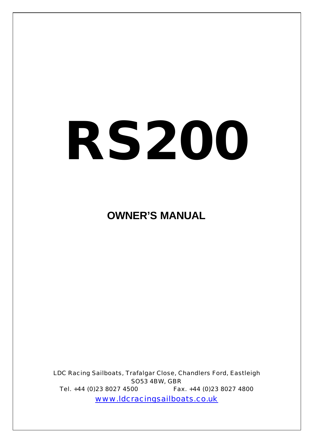# *RS***200**

# **OWNER'S MANUAL**

LDC Racing Sailboats, Trafalgar Close, Chandlers Ford, Eastleigh SO53 4BW, GBR Tel. +44 (0)23 8027 4500 Fax. +44 (0)23 8027 4800 www.ldcracingsailboats.co.uk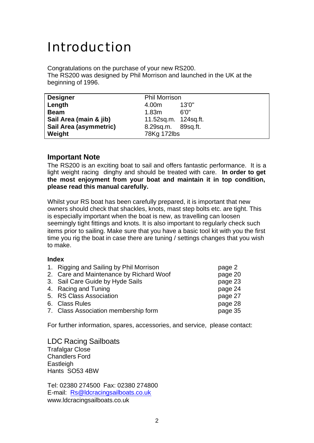# Introduction

Congratulations on the purchase of your new RS200. The RS200 was designed by Phil Morrison and launched in the UK at the beginning of 1996.

| <b>Designer</b>        | <b>Phil Morrison</b> |
|------------------------|----------------------|
| Length                 | 13'0''<br>4.00m      |
| <b>Beam</b>            | 6'0"<br>1.83m        |
| Sail Area (main & jib) | 11.52sq.m. 124sq.ft. |
| Sail Area (asymmetric) | 8.29sq.m. 89sq.ft.   |
| Weight                 | 78Kg 172lbs          |

#### **Important Note**

The RS200 is an exciting boat to sail and offers fantastic performance. It is a light weight racing dinghy and should be treated with care. **In order to get the most enjoyment from your boat and maintain it in top condition, please read this manual carefully.**

Whilst your RS boat has been carefully prepared, it is important that new owners should check that shackles, knots, mast step bolts etc. are tight. This is especially important when the boat is new, as travelling can loosen seemingly tight fittings and knots. It is also important to regularly check such items prior to sailing. Make sure that you have a basic tool kit with you the first time you rig the boat in case there are tuning / settings changes that you wish to make.

#### **Index**

| 1. Rigging and Sailing by Phil Morrison | page 2  |
|-----------------------------------------|---------|
| 2. Care and Maintenance by Richard Woof | page 20 |
| 3. Sail Care Guide by Hyde Sails        | page 23 |
| 4. Racing and Tuning                    | page 24 |
| 5. RS Class Association                 | page 27 |
| 6. Class Rules                          | page 28 |
| 7. Class Association membership form    | page 35 |
|                                         |         |

For further information, spares, accessories, and service, please contact:

LDC Racing Sailboats Trafalgar Close Chandlers Ford **Eastleigh** Hants SO53 4BW

Tel: 02380 274500 Fax: 02380 274800 E-mail: Rs@ldcracingsailboats.co.uk www.ldcracingsailboats.co.uk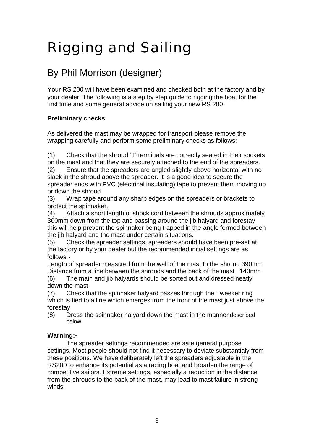# Rigging and Sailing

# By Phil Morrison (designer)

Your RS 200 will have been examined and checked both at the factory and by your dealer. The following is a step by step guide to rigging the boat for the first time and some general advice on sailing your new RS 200.

#### **Preliminary checks**

As delivered the mast may be wrapped for transport please remove the wrapping carefully and perform some preliminary checks as follows:-

(1) Check that the shroud 'T' terminals are correctly seated in their sockets on the mast and that they are securely attached to the end of the spreaders.

(2) Ensure that the spreaders are angled slightly above horizontal with no slack in the shroud above the spreader. It is a good idea to secure the spreader ends with PVC (electrical insulating) tape to prevent them moving up or down the shroud

(3) Wrap tape around any sharp edges on the spreaders or brackets to protect the spinnaker.

(4) Attach a short length of shock cord between the shrouds approximately 300mm down from the top and passing around the jib halyard and forestay this will help prevent the spinnaker being trapped in the angle formed between the jib halyard and the mast under certain situations.

(5) Check the spreader settings, spreaders should have been pre-set at the factory or by your dealer but the recommended initial settings are as follows:-

Length of spreader measured from the wall of the mast to the shroud 390mm Distance from a line between the shrouds and the back of the mast 140mm (6) The main and jib halyards should be sorted out and dressed neatly down the mast

(7) Check that the spinnaker halyard passes through the Tweeker ring which is tied to a line which emerges from the front of the mast just above the forestay

(8) Dress the spinnaker halyard down the mast in the manner described below

#### **Warning:-**

The spreader settings recommended are safe general purpose settings. Most people should not find it necessary to deviate substantialy from these positions. We have deliberately left the spreaders adjustable in the RS200 to enhance its potential as a racing boat and broaden the range of competitive sailors. Extreme settings, especially a reduction in the distance from the shrouds to the back of the mast, may lead to mast failure in strong winds.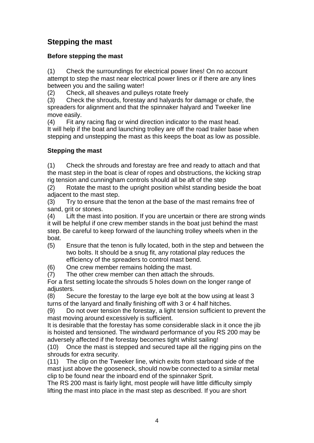## **Stepping the mast**

#### **Before stepping the mast**

(1) Check the surroundings for electrical power lines! On no account attempt to step the mast near electrical power lines or if there are any lines between you and the sailing water!

(2) Check, all sheaves and pulleys rotate freely

(3) Check the shrouds, forestay and halyards for damage or chafe, the spreaders for alignment and that the spinnaker halyard and Tweeker line move easily.

(4) Fit any racing flag or wind direction indicator to the mast head. It will help if the boat and launching trolley are off the road trailer base when stepping and unstepping the mast as this keeps the boat as low as possible.

#### **Stepping the mast**

(1) Check the shrouds and forestay are free and ready to attach and that the mast step in the boat is clear of ropes and obstructions, the kicking strap rig tension and cunningham controls should all be aft of the step

(2) Rotate the mast to the upright position whilst standing beside the boat adjacent to the mast step.

(3) Try to ensure that the tenon at the base of the mast remains free of sand, grit or stones.

(4) Lift the mast into position. If you are uncertain or there are strong winds it will be helpful if one crew member stands in the boat just behind the mast step. Be careful to keep forward of the launching trolley wheels when in the boat.

- (5) Ensure that the tenon is fully located, both in the step and between the two bolts. It should be a snug fit, any rotational play reduces the efficiency of the spreaders to control mast bend.
- (6) One crew member remains holding the mast.

(7) The other crew member can then attach the shrouds.

For a first setting locate the shrouds 5 holes down on the longer range of adjusters.

(8) Secure the forestay to the large eye bolt at the bow using at least 3 turns of the lanyard and finally finishing off with 3 or 4 half hitches.

(9) Do not over tension the forestay, a light tension sufficient to prevent the mast moving around excessively is sufficient.

It is desirable that the forestay has some considerable slack in it once the jib is hoisted and tensioned. The windward performance of you RS 200 may be adversely affected if the forestay becomes tight whilst sailing!

(10) Once the mast is stepped and secured tape all the rigging pins on the shrouds for extra security.

(11) The clip on the Tweeker line, which exits from starboard side of the mast just above the gooseneck, should now be connected to a similar metal clip to be found near the inboard end of the spinnaker Sprit.

The RS 200 mast is fairly light, most people will have little difficulty simply lifting the mast into place in the mast step as described. If you are short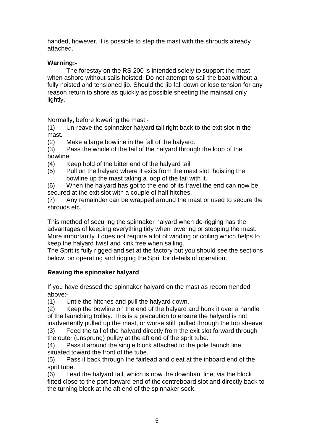handed, however, it is possible to step the mast with the shrouds already attached.

#### **Warning:-**

The forestay on the RS 200 is intended solely to support the mast when ashore without sails hoisted. Do not attempt to sail the boat without a fully hoisted and tensioned jib. Should the jib fall down or lose tension for any reason return to shore as quickly as possible sheeting the mainsail only lightly.

Normally, before lowering the mast:-

(1) Un-reave the spinnaker halyard tail right back to the exit slot in the mast.

(2) Make a large bowline in the fall of the halyard.

(3) Pass the whole of the tail of the halyard through the loop of the bowline.

- (4) Keep hold of the bitter end of the halyard tail
- (5) Pull on the halyard where it exits from the mast slot, hoisting the bowline up the mast taking a loop of the tail with it.

(6) When the halyard has got to the end of its travel the end can now be secured at the exit slot with a couple of half hitches.

(7) Any remainder can be wrapped around the mast or used to secure the shrouds etc.

This method of securing the spinnaker halyard when de-rigging has the advantages of keeping everything tidy when lowering or stepping the mast. More importantly it does not require a lot of winding or coiling which helps to keep the halyard twist and kink free when sailing.

The Sprit is fully rigged and set at the factory but you should see the sections below, on operating and rigging the Sprit for details of operation.

#### **Reaving the spinnaker halyard**

If you have dressed the spinnaker halyard on the mast as recommended above:-

(1) Untie the hitches and pull the halyard down.

(2) Keep the bowline on the end of the halyard and hook it over a handle of the launching trolley. This is a precaution to ensure the halyard is not inadvertently pulled up the mast, or worse still, pulled through the top sheave.

(3) Feed the tail of the halyard directly from the exit slot forward through the outer (unsprung) pulley at the aft end of the sprit tube.

(4) Pass it around the single block attached to the pole launch line, situated toward the front of the tube.

(5) Pass it back through the fairlead and cleat at the inboard end of the sprit tube.

(6) Lead the halyard tail, which is now the downhaul line, via the block fitted close to the port forward end of the centreboard slot and directly back to the turning block at the aft end of the spinnaker sock.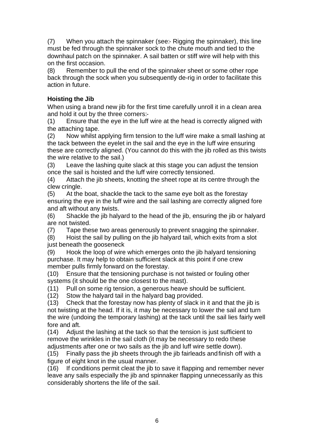(7) When you attach the spinnaker (see:- Rigging the spinnaker), this line must be fed through the spinnaker sock to the chute mouth and tied to the downhaul patch on the spinnaker. A sail batten or stiff wire will help with this on the first occasion.

(8) Remember to pull the end of the spinnaker sheet or some other rope back through the sock when you subsequently de-rig in order to facilitate this action in future.

#### **Hoisting the Jib**

When using a brand new jib for the first time carefully unroll it in a clean area and hold it out by the three corners:-

(1) Ensure that the eye in the luff wire at the head is correctly aligned with the attaching tape.

(2) Now whilst applying firm tension to the luff wire make a small lashing at the tack between the eyelet in the sail and the eye in the luff wire ensuring these are correctly aligned. (You cannot do this with the jib rolled as this twists the wire relative to the sail.)

(3) Leave the lashing quite slack at this stage you can adjust the tension once the sail is hoisted and the luff wire correctly tensioned.

(4) Attach the jib sheets, knotting the sheet rope at its centre through the clew cringle.

(5) At the boat, shackle the tack to the same eye bolt as the forestay ensuring the eye in the luff wire and the sail lashing are correctly aligned fore and aft without any twists.

(6) Shackle the jib halyard to the head of the jib, ensuring the jib or halyard are not twisted.

(7) Tape these two areas generously to prevent snagging the spinnaker.

(8) Hoist the sail by pulling on the jib halyard tail, which exits from a slot just beneath the gooseneck

(9) Hook the loop of wire which emerges onto the jib halyard tensioning purchase. It may help to obtain sufficient slack at this point if one crew member pulls firmly forward on the forestay.

(10) Ensure that the tensioning purchase is not twisted or fouling other systems (it should be the one closest to the mast).

(11) Pull on some rig tension, a generous heave should be sufficient.

(12) Stow the halyard tail in the halyard bag provided.

(13) Check that the forestay now has plenty of slack in it and that the jib is not twisting at the head. If it is, it may be necessary to lower the sail and turn the wire (undoing the temporary lashing) at the tack until the sail lies fairly well fore and aft.

(14) Adjust the lashing at the tack so that the tension is just sufficient to remove the wrinkles in the sail cloth (it may be necessary to redo these adjustments after one or two sails as the jib and luff wire settle down).

(15) Finally pass the jib sheets through the jib fairleads andfinish off with a figure of eight knot in the usual manner.

(16) If conditions permit cleat the jib to save it flapping and remember never leave any sails especially the jib and spinnaker flapping unnecessarily as this considerably shortens the life of the sail.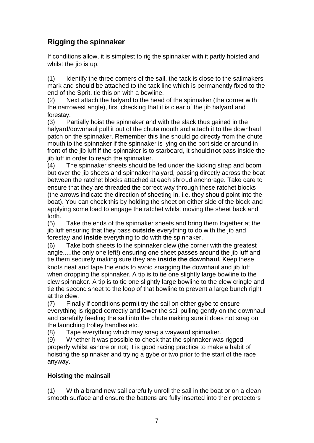# **Rigging the spinnaker**

If conditions allow, it is simplest to rig the spinnaker with it partly hoisted and whilst the jib is up.

(1) Identify the three corners of the sail, the tack is close to the sailmakers mark and should be attached to the tack line which is permanently fixed to the end of the Sprit, tie this on with a bowline.

(2) Next attach the halyard to the head of the spinnaker (the corner with the narrowest angle), first checking that it is clear of the jib halyard and forestay.

(3) Partially hoist the spinnaker and with the slack thus gained in the halyard/downhaul pull it out of the chute mouth and attach it to the downhaul patch on the spinnaker. Remember this line should go directly from the chute mouth to the spinnaker if the spinnaker is lying on the port side or around in front of the jib luff if the spinnaker is to starboard, it should **not** pass inside the jib luff in order to reach the spinnaker.

(4) The spinnaker sheets should be fed under the kicking strap and boom but over the jib sheets and spinnaker halyard, passing directly across the boat between the ratchet blocks attached at each shroud anchorage. Take care to ensure that they are threaded the correct way through these ratchet blocks (the arrows indicate the direction of sheeting in, i.e. they should point into the boat). You can check this by holding the sheet on either side of the block and applying some load to engage the ratchet whilst moving the sheet back and forth.

(5) Take the ends of the spinnaker sheets and bring them together at the jib luff ensuring that they pass **outside** everything to do with the jib and forestay and **inside** everything to do with the spinnaker.

(6) Take both sheets to the spinnaker clew (the corner with the greatest angle.....the only one left!) ensuring one sheet passes around the jib luff and tie them securely making sure they are **inside the downhaul**. Keep these knots neat and tape the ends to avoid snagging the downhaul and jib luff when dropping the spinnaker. A tip is to tie one slightly large bowline to the clew spinnaker. A tip is to tie one slightly large bowline to the clew cringle and tie the second sheet to the loop of that bowline to prevent a large bunch right at the clew.

(7) Finally if conditions permit try the sail on either gybe to ensure everything is rigged correctly and lower the sail pulling gently on the downhaul and carefully feeding the sail into the chute making sure it does not snag on the launching trolley handles etc.

(8) Tape everything which may snag a wayward spinnaker.

(9) Whether it was possible to check that the spinnaker was rigged properly whilst ashore or not; it is good racing practice to make a habit of hoisting the spinnaker and trying a gybe or two prior to the start of the race anyway.

#### **Hoisting the mainsail**

(1) With a brand new sail carefully unroll the sail in the boat or on a clean smooth surface and ensure the battens are fully inserted into their protectors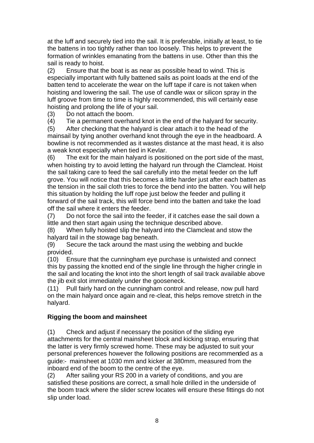at the luff and securely tied into the sail. It is preferable, initially at least, to tie the battens in too tightly rather than too loosely. This helps to prevent the formation of wrinkles emanating from the battens in use. Other than this the sail is ready to hoist.

(2) Ensure that the boat is as near as possible head to wind. This is especially important with fully battened sails as point loads at the end of the batten tend to accelerate the wear on the luff tape if care is not taken when hoisting and lowering the sail. The use of candle wax or silicon spray in the luff groove from time to time is highly recommended, this will certainly ease hoisting and prolong the life of your sail.

(3) Do not attach the boom.

(4) Tie a permanent overhand knot in the end of the halyard for security.

(5) After checking that the halyard is clear attach it to the head of the mainsail by tying another overhand knot through the eye in the headboard. A bowline is not recommended as it wastes distance at the mast head, it is also a weak knot especially when tied in Kevlar.

(6) The exit for the main halyard is positioned on the port side of the mast, when hoisting try to avoid letting the halyard run through the Clamcleat. Hoist the sail taking care to feed the sail carefully into the metal feeder on the luff grove. You will notice that this becomes a little harder just after each batten as the tension in the sail cloth tries to force the bend into the batten. You will help this situation by holding the luff rope just below the feeder and pulling it forward of the sail track, this will force bend into the batten and take the load off the sail where it enters the feeder.

(7) Do not force the sail into the feeder, if it catches ease the sail down a little and then start again using the technique described above.

(8) When fully hoisted slip the halyard into the Clamcleat and stow the halyard tail in the stowage bag beneath.

(9) Secure the tack around the mast using the webbing and buckle provided.

(10) Ensure that the cunningham eye purchase is untwisted and connect this by passing the knotted end of the single line through the higher cringle in the sail and locating the knot into the short length of sail track available above the jib exit slot immediately under the gooseneck.

(11) Pull fairly hard on the cunningham control and release, now pull hard on the main halyard once again and re-cleat, this helps remove stretch in the halyard.

#### **Rigging the boom and mainsheet**

(1) Check and adjust if necessary the position of the sliding eye attachments for the central mainsheet block and kicking strap, ensuring that the latter is very firmly screwed home. These may be adjusted to suit your personal preferences however the following positions are recommended as a guide:- mainsheet at 1030 mm and kicker at 380mm, measured from the inboard end of the boom to the centre of the eye.

(2) After sailing your RS 200 in a variety of conditions, and you are satisfied these positions are correct, a small hole drilled in the underside of the boom track where the slider screw locates will ensure these fittings do not slip under load.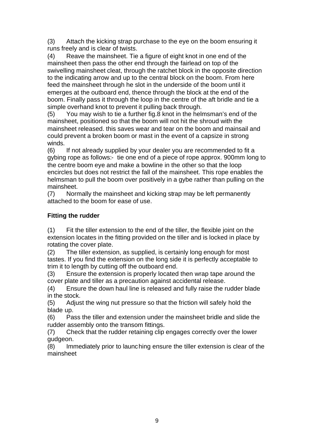(3) Attach the kicking strap purchase to the eye on the boom ensuring it runs freely and is clear of twists.

(4) Reave the mainsheet. Tie a figure of eight knot in one end of the mainsheet then pass the other end through the fairlead on top of the swivelling mainsheet cleat, through the ratchet block in the opposite direction to the indicating arrow and up to the central block on the boom. From here feed the mainsheet through he slot in the underside of the boom until it emerges at the outboard end, thence through the block at the end of the boom. Finally pass it through the loop in the centre of the aft bridle and tie a simple overhand knot to prevent it pulling back through.

(5) You may wish to tie a further fig.8 knot in the helmsman's end of the mainsheet, positioned so that the boom will not hit the shroud with the mainsheet released. this saves wear and tear on the boom and mainsail and could prevent a broken boom or mast in the event of a capsize in strong winds.

(6) If not already supplied by your dealer you are recommended to fit a gybing rope as follows:- tie one end of a piece of rope approx. 900mm long to the centre boom eye and make a bowline in the other so that the loop encircles but does not restrict the fall of the mainsheet. This rope enables the helmsman to pull the boom over positively in a gybe rather than pulling on the mainsheet.

(7) Normally the mainsheet and kicking strap may be left permanently attached to the boom for ease of use.

#### **Fitting the rudder**

(1) Fit the tiller extension to the end of the tiller, the flexible joint on the extension locates in the fitting provided on the tiller and is locked in place by rotating the cover plate.

(2) The tiller extension, as supplied, is certainly long enough for most tastes. If you find the extension on the long side it is perfectly acceptable to trim it to length by cutting off the outboard end.

(3) Ensure the extension is properly located then wrap tape around the cover plate and tiller as a precaution against accidental release.

(4) Ensure the down haul line is released and fully raise the rudder blade in the stock.

(5) Adjust the wing nut pressure so that the friction will safely hold the blade up.

(6) Pass the tiller and extension under the mainsheet bridle and slide the rudder assembly onto the transom fittings.

(7) Check that the rudder retaining clip engages correctly over the lower gudgeon.

(8) Immediately prior to launching ensure the tiller extension is clear of the mainsheet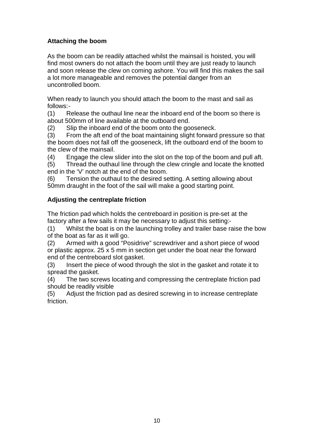#### **Attaching the boom**

As the boom can be readily attached whilst the mainsail is hoisted, you will find most owners do not attach the boom until they are just ready to launch and soon release the clew on coming ashore. You will find this makes the sail a lot more manageable and removes the potential danger from an uncontrolled boom.

When ready to launch you should attach the boom to the mast and sail as follows:-

(1) Release the outhaul line near the inboard end of the boom so there is about 500mm of line available at the outboard end.

(2) Slip the inboard end of the boom onto the gooseneck.

(3) From the aft end of the boat maintaining slight forward pressure so that the boom does not fall off the gooseneck, lift the outboard end of the boom to the clew of the mainsail.

(4) Engage the clew slider into the slot on the top of the boom and pull aft.

(5) Thread the outhaul line through the clew cringle and locate the knotted end in the 'V' notch at the end of the boom.

(6) Tension the outhaul to the desired setting. A setting allowing about 50mm draught in the foot of the sail will make a good starting point.

#### **Adjusting the centreplate friction**

The friction pad which holds the centreboard in position is pre-set at the factory after a few sails it may be necessary to adjust this setting:-

(1) Whilst the boat is on the launching trolley and trailer base raise the bow of the boat as far as it will go.

(2) Armed with a good "Posidrive" screwdriver and a short piece of wood or plastic approx. 25 x 5 mm in section get under the boat near the forward end of the centreboard slot gasket.

(3) Insert the piece of wood through the slot in the gasket and rotate it to spread the gasket.

(4) The two screws locating and compressing the centreplate friction pad should be readily visible

(5) Adjust the friction pad as desired screwing in to increase centreplate friction.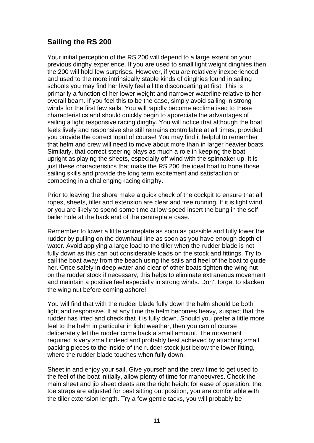#### **Sailing the RS 200**

Your initial perception of the RS 200 will depend to a large extent on your previous dinghy experience. If you are used to small light weight dinghies then the 200 will hold few surprises. However, if you are relatively inexperienced and used to the more intrinsically stable kinds of dinghies found in sailing schools you may find her lively feel a little disconcerting at first. This is primarily a function of her lower weight and narrower waterline relative to her overall beam. If you feel this to be the case, simply avoid sailing in strong winds for the first few sails. You will rapidly become acclimatised to these characteristics and should quickly begin to appreciate the advantages of sailing a light responsive racing dinghy. You will notice that although the boat feels lively and responsive she still remains controllable at all times, provided you provide the correct input of course! You may find it helpful to remember that helm and crew will need to move about more than in larger heavier boats. Similarly, that correct steering plays as much a role in keeping the boat upright as playing the sheets, especially off wind with the spinnaker up. It is just these characteristics that make the RS 200 the ideal boat to hone those sailing skills and provide the long term excitement and satisfaction of competing in a challenging racing dinghy.

Prior to leaving the shore make a quick check of the cockpit to ensure that all ropes, sheets, tiller and extension are clear and free running. If it is light wind or you are likely to spend some time at low speed insert the bung in the self bailer hole at the back end of the centreplate case.

Remember to lower a little centreplate as soon as possible and fully lower the rudder by pulling on the downhaul line as soon as you have enough depth of water. Avoid applying a large load to the tiller when the rudder blade is not fully down as this can put considerable loads on the stock and fittings. Try to sail the boat away from the beach using the sails and heel of the boat to guide her. Once safely in deep water and clear of other boats tighten the wing nut on the rudder stock if necessary, this helps to eliminate extraneous movement and maintain a positive feel especially in strong winds. Don't forget to slacken the wing nut before coming ashore!

You will find that with the rudder blade fully down the helm should be both light and responsive. If at any time the helm becomes heavy, suspect that the rudder has lifted and check that it is fully down. Should you prefer a little more feel to the helm in particular in light weather, then you can of course deliberately let the rudder come back a small amount. The movement required is very small indeed and probably best achieved by attaching small packing pieces to the inside of the rudder stock just below the lower fitting, where the rudder blade touches when fully down.

Sheet in and enjoy your sail. Give yourself and the crew time to get used to the feel of the boat initially, allow plenty of time for manoeuvres. Check the main sheet and jib sheet cleats are the right height for ease of operation, the toe straps are adjusted for best sitting out position, you are comfortable with the tiller extension length. Try a few gentle tacks, you will probably be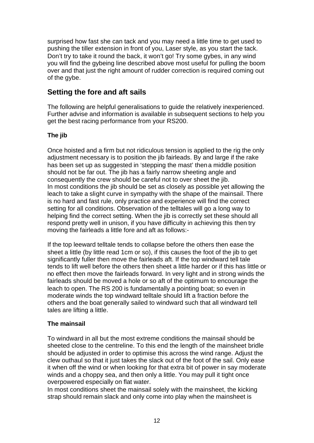surprised how fast she can tack and you may need a little time to get used to pushing the tiller extension in front of you, Laser style, as you start the tack. Don't try to take it round the back, it won't go! Try some gybes, in any wind you will find the gybeing line described above most useful for pulling the boom over and that just the right amount of rudder correction is required coming out of the gybe.

#### **Setting the fore and aft sails**

The following are helpful generalisations to guide the relatively inexperienced. Further advise and information is available in subsequent sections to help you get the best racing performance from your RS200.

#### **The jib**

Once hoisted and a firm but not ridiculous tension is applied to the rig the only adjustment necessary is to position the jib fairleads. By and large if the rake has been set up as suggested in 'stepping the mast' then a middle position should not be far out. The jib has a fairly narrow sheeting angle and consequently the crew should be careful not to over sheet the jib. In most conditions the jib should be set as closely as possible yet allowing the leach to take a slight curve in sympathy with the shape of the mainsail. There is no hard and fast rule, only practice and experience will find the correct setting for all conditions. Observation of the telltales will go a long way to helping find the correct setting. When the jib is correctly set these should all respond pretty well in unison, if you have difficulty in achieving this then try moving the fairleads a little fore and aft as follows:-

If the top leeward telltale tends to collapse before the others then ease the sheet a little (by little read 1cm or so), if this causes the foot of the jib to get significantly fuller then move the fairleads aft. If the top windward tell tale tends to lift well before the others then sheet a little harder or if this has little or no effect then move the fairleads forward. In very light and in strong winds the fairleads should be moved a hole or so aft of the optimum to encourage the leach to open. The RS 200 is fundamentally a pointing boat; so even in moderate winds the top windward telltale should lift a fraction before the others and the boat generally sailed to windward such that all windward tell tales are lifting a little.

#### **The mainsail**

To windward in all but the most extreme conditions the mainsail should be sheeted close to the centreline. To this end the length of the mainsheet bridle should be adjusted in order to optimise this across the wind range. Adjust the clew outhaul so that it just takes the slack out of the foot of the sail. Only ease it when off the wind or when looking for that extra bit of power in say moderate winds and a choppy sea, and then only a little. You may pull it tight once overpowered especially on flat water.

In most conditions sheet the mainsail solely with the mainsheet, the kicking strap should remain slack and only come into play when the mainsheet is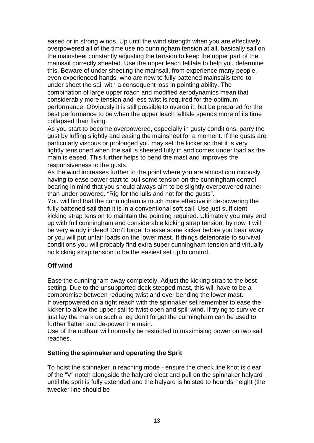eased or in strong winds. Up until the wind strength when you are effectively overpowered all of the time use no cunningham tension at all, basically sail on the mainsheet constantly adjusting the tension to keep the upper part of the mainsail correctly sheeted. Use the upper leach telltale to help you determine this. Beware of under sheeting the mainsail, from experience many people, even experienced hands, who are new to fully battened mainsails tend to under sheet the sail with a consequent loss in pointing ability. The combination of large upper roach and modified aerodynamics mean that considerably more tension and less twist is required for the optimum performance. Obviously it is still possible to overdo it, but be prepared for the best performance to be when the upper leach telltale spends more of its time collapsed than flying.

As you start to become overpowered, especially in gusty conditions, parry the gust by luffing slightly and easing the mainsheet for a moment. If the gusts are particularly viscous or prolonged you may set the kicker so that it is very lightly tensioned when the sail is sheeted fully in and comes under load as the main is eased. This further helps to bend the mast and improves the responsiveness to the gusts.

As the wind increases further to the point where you are almost continuously having to ease power start to pull some tension on the cunningham control, bearing in mind that you should always aim to be slightly overpowered rather than under powered. "Rig for the lulls and not for the gusts".

You will find that the cunningham is much more effective in de-powering the fully battened sail than it is in a conventional soft sail. Use just sufficient kicking strap tension to maintain the pointing required. Ultimately you may end up with full cunningham and considerable kicking strap tension, by now it will be very windy indeed! Don't forget to ease some kicker before you bear away or you will put unfair loads on the lower mast. If things deteriorate to survival conditions you will probably find extra super cunningham tension and virtually no kicking strap tension to be the easiest set up to control.

#### **Off wind**

Ease the cunningham away completely. Adjust the kicking strap to the best setting. Due to the unsupported deck stepped mast, this will have to be a compromise between reducing twist and over bending the lower mast. If overpowered on a tight reach with the spinnaker set remember to ease the kicker to allow the upper sail to twist open and spill wind. If trying to survive or just lay the mark on such a leg don't forget the cunningham can be used to further flatten and de-power the main.

Use of the outhaul will normally be restricted to maximising power on two sail reaches.

#### **Setting the spinnaker and operating the Sprit**

To hoist the spinnaker in reaching mode - ensure the check line knot is clear of the "V" notch alongside the halyard cleat and pull on the spinnaker halyard until the sprit is fully extended and the halyard is hoisted to hounds height (the tweeker line should be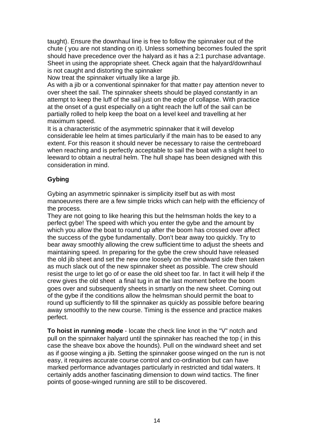taught). Ensure the downhaul line is free to follow the spinnaker out of the chute ( you are not standing on it). Unless something becomes fouled the sprit should have precedence over the halyard as it has a 2:1 purchase advantage. Sheet in using the appropriate sheet. Check again that the halyard/downhaul is not caught and distorting the spinnaker

Now treat the spinnaker virtually like a large jib.

As with a jib or a conventional spinnaker for that matter pay attention never to over sheet the sail. The spinnaker sheets should be played constantly in an attempt to keep the luff of the sail just on the edge of collapse. With practice at the onset of a gust especially on a tight reach the luff of the sail can be partially rolled to help keep the boat on a level keel and travelling at her maximum speed.

It is a characteristic of the asymmetric spinnaker that it will develop considerable lee helm at times particularly if the main has to be eased to any extent. For this reason it should never be necessary to raise the centreboard when reaching and is perfectly acceptable to sail the boat with a slight heel to leeward to obtain a neutral helm. The hull shape has been designed with this consideration in mind.

#### **Gybing**

Gybing an asymmetric spinnaker is simplicity itself but as with most manoeuvres there are a few simple tricks which can help with the efficiency of the process.

They are not going to like hearing this but the helmsman holds the key to a perfect gybe! The speed with which you enter the gybe and the amount by which you allow the boat to round up after the boom has crossed over affect the success of the gybe fundamentally. Don't bear away too quickly. Try to bear away smoothly allowing the crew sufficient time to adjust the sheets and maintaining speed. In preparing for the gybe the crew should have released the old jib sheet and set the new one loosely on the windward side then taken as much slack out of the new spinnaker sheet as possible. The crew should resist the urge to let go of or ease the old sheet too far. In fact it will help if the crew gives the old sheet a final tug in at the last moment before the boom goes over and subsequently sheets in smartly on the new sheet. Coming out of the gybe if the conditions allow the helmsman should permit the boat to round up sufficiently to fill the spinnaker as quickly as possible before bearing away smoothly to the new course. Timing is the essence and practice makes perfect.

**To hoist in running mode** - locate the check line knot in the "V" notch and pull on the spinnaker halyard until the spinnaker has reached the top ( in this case the sheave box above the hounds). Pull on the windward sheet and set as if goose winging a jib. Setting the spinnaker goose winged on the run is not easy, it requires accurate course control and co-ordination but can have marked performance advantages particularly in restricted and tidal waters. It certainly adds another fascinating dimension to down wind tactics. The finer points of goose-winged running are still to be discovered.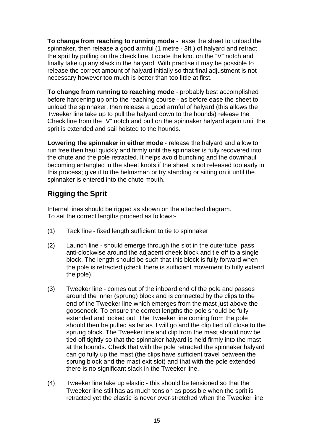**To change from reaching to running mode** - ease the sheet to unload the spinnaker, then release a good armful (1 metre - 3ft.) of halyard and retract the sprit by pulling on the check line. Locate the knot on the "V" notch and finally take up any slack in the halyard. With practise it may be possible to release the correct amount of halyard initially so that final adjustment is not necessary however too much is better than too little at first.

**To change from running to reaching mode** - probably best accomplished before hardening up onto the reaching course - as before ease the sheet to unload the spinnaker, then release a good armful of halyard (this allows the Tweeker line take up to pull the halyard down to the hounds) release the Check line from the "V" notch and pull on the spinnaker halyard again until the sprit is extended and sail hoisted to the hounds.

**Lowering the spinnaker in either mode** - release the halyard and allow to run free then haul quickly and firmly until the spinnaker is fully recovered into the chute and the pole retracted. It helps avoid bunching and the downhaul becoming entangled in the sheet knots if the sheet is not released too early in this process; give it to the helmsman or try standing or sitting on it until the spinnaker is entered into the chute mouth.

## **Rigging the Sprit**

Internal lines should be rigged as shown on the attached diagram. To set the correct lengths proceed as follows:-

- (1) Tack line fixed length sufficient to tie to spinnaker
- (2) Launch line should emerge through the slot in the outertube, pass anti-clockwise around the adjacent cheek block and tie off to a single block. The length should be such that this block is fully forward when the pole is retracted (check there is sufficient movement to fully extend the pole).
- (3) Tweeker line comes out of the inboard end of the pole and passes around the inner (sprung) block and is connected by the clips to the end of the Tweeker line which emerges from the mast just above the gooseneck. To ensure the correct lengths the pole should be fully extended and locked out. The Tweeker line coming from the pole should then be pulled as far as it will go and the clip tied off close to the sprung block. The Tweeker line and clip from the mast should now be tied off tightly so that the spinnaker halyard is held firmly into the mast at the hounds. Check that with the pole retracted the spinnaker halyard can go fully up the mast (the clips have sufficient travel between the sprung block and the mast exit slot) and that with the pole extended there is no significant slack in the Tweeker line.
- (4) Tweeker line take up elastic this should be tensioned so that the Tweeker line still has as much tension as possible when the sprit is retracted yet the elastic is never over-stretched when the Tweeker line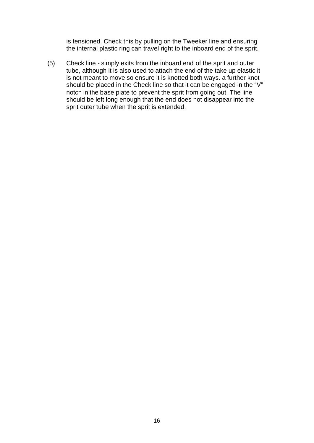is tensioned. Check this by pulling on the Tweeker line and ensuring the internal plastic ring can travel right to the inboard end of the sprit.

(5) Check line - simply exits from the inboard end of the sprit and outer tube, although it is also used to attach the end of the take up elastic it is not meant to move so ensure it is knotted both ways. a further knot should be placed in the Check line so that it can be engaged in the "V" notch in the base plate to prevent the sprit from going out. The line should be left long enough that the end does not disappear into the sprit outer tube when the sprit is extended.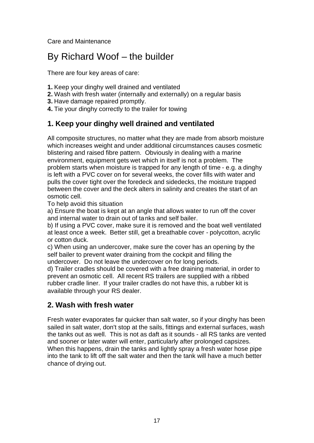Care and Maintenance

# By Richard Woof – the builder

There are four key areas of care:

- **1.** Keep your dinghy well drained and ventilated
- **2.** Wash with fresh water (internally and externally) on a regular basis
- **3.** Have damage repaired promptly.
- **4.** Tie your dinghy correctly to the trailer for towing

## **1. Keep your dinghy well drained and ventilated**

All composite structures, no matter what they are made from absorb moisture which increases weight and under additional circumstances causes cosmetic blistering and raised fibre pattern. Obviously in dealing with a marine environment, equipment gets wet which in itself is not a problem. The problem starts when moisture is trapped for any length of time - e.g. a dinghy is left with a PVC cover on for several weeks, the cover fills with water and pulls the cover tight over the foredeck and sidedecks, the moisture trapped between the cover and the deck alters in salinity and creates the start of an osmotic cell.

To help avoid this situation

a) Ensure the boat is kept at an angle that allows water to run off the cover and internal water to drain out of tanks and self bailer.

b) If using a PVC cover, make sure it is removed and the boat well ventilated at least once a week. Better still, get a breathable cover - polycotton, acrylic or cotton duck.

c) When using an undercover, make sure the cover has an opening by the self bailer to prevent water draining from the cockpit and filling the undercover. Do not leave the undercover on for long periods.

d) Trailer cradles should be covered with a free draining material, in order to prevent an osmotic cell. All recent RS trailers are supplied with a ribbed rubber cradle liner. If your trailer cradles do not have this, a rubber kit is available through your RS dealer.

#### **2. Wash with fresh water**

Fresh water evaporates far quicker than salt water, so if your dinghy has been sailed in salt water, don't stop at the sails, fittings and external surfaces, wash the tanks out as well. This is not as daft as it sounds - all RS tanks are vented and sooner or later water will enter, particularly after prolonged capsizes. When this happens, drain the tanks and lightly spray a fresh water hose pipe into the tank to lift off the salt water and then the tank will have a much better chance of drying out.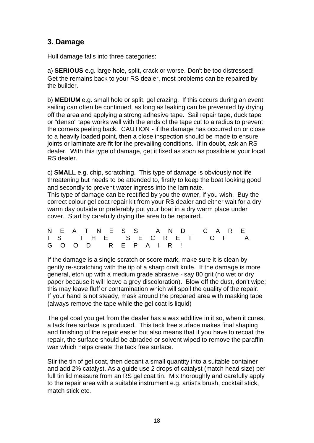#### **3. Damage**

Hull damage falls into three categories:

a) **SERIOUS** e.g. large hole, split, crack or worse. Don't be too distressed! Get the remains back to your RS dealer, most problems can be repaired by the builder.

b) **MEDIUM** e.g. small hole or split, gel crazing. If this occurs during an event, sailing can often be continued, as long as leaking can be prevented by drying off the area and applying a strong adhesive tape. Sail repair tape, duck tape or "denso" tape works well with the ends of the tape cut to a radius to prevent the corners peeling back. CAUTION - if the damage has occurred on or close to a heavily loaded point, then a close inspection should be made to ensure joints or laminate are fit for the prevailing conditions. If in doubt, ask an RS dealer. With this type of damage, get it fixed as soon as possible at your local RS dealer.

c) **SMALL** e.g. chip, scratching. This type of damage is obviously not life threatening but needs to be attended to, firstly to keep the boat looking good and secondly to prevent water ingress into the laminate.

This type of damage can be rectified by you the owner, if you wish. Buy the correct colour gel coat repair kit from your RS dealer and either wait for a dry warm day outside or preferably put your boat in a dry warm place under cover. Start by carefully drying the area to be repaired.

|  | N E A T N E S S A N D C A R E |  |
|--|-------------------------------|--|
|  | IS THE SECRET OF A            |  |
|  | GOOD REPAIR!                  |  |

If the damage is a single scratch or score mark, make sure it is clean by gently re-scratching with the tip of a sharp craft knife. If the damage is more general, etch up with a medium grade abrasive - say 80 grit (no wet or dry paper because it will leave a grey discoloration). Blow off the dust, don't wipe; this may leave fluff or contamination which will spoil the quality of the repair. If your hand is not steady, mask around the prepared area with masking tape (always remove the tape while the gel coat is liquid)

The gel coat you get from the dealer has a wax additive in it so, when it cures, a tack free surface is produced. This tack free surface makes final shaping and finishing of the repair easier but also means that if you have to recoat the repair, the surface should be abraded or solvent wiped to remove the paraffin wax which helps create the tack free surface.

Stir the tin of gel coat, then decant a small quantity into a suitable container and add 2% catalyst. As a guide use 2 drops of catalyst (match head size) per full tin lid measure from an RS gel coat tin. Mix thoroughly and carefully apply to the repair area with a suitable instrument e.g. artist's brush, cocktail stick, match stick etc.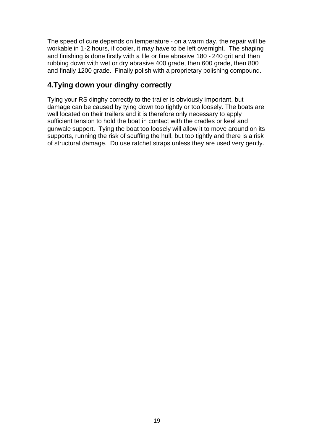The speed of cure depends on temperature - on a warm day, the repair will be workable in 1-2 hours, if cooler, it may have to be left overnight. The shaping and finishing is done firstly with a file or fine abrasive 180 - 240 grit and then rubbing down with wet or dry abrasive 400 grade, then 600 grade, then 800 and finally 1200 grade. Finally polish with a proprietary polishing compound.

## **4.Tying down your dinghy correctly**

Tying your RS dinghy correctly to the trailer is obviously important, but damage can be caused by tying down too tightly or too loosely. The boats are well located on their trailers and it is therefore only necessary to apply sufficient tension to hold the boat in contact with the cradles or keel and gunwale support. Tying the boat too loosely will allow it to move around on its supports, running the risk of scuffing the hull, but too tightly and there is a risk of structural damage. Do use ratchet straps unless they are used very gently.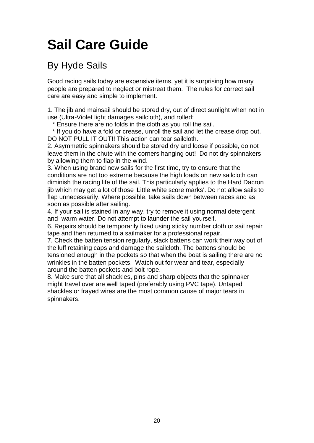# **Sail Care Guide**

# By Hyde Sails

Good racing sails today are expensive items, yet it is surprising how many people are prepared to neglect or mistreat them. The rules for correct sail care are easy and simple to implement.

1. The jib and mainsail should be stored dry, out of direct sunlight when not in use (Ultra-Violet light damages sailcloth), and rolled:

\* Ensure there are no folds in the cloth as you roll the sail.

 \* If you do have a fold or crease, unroll the sail and let the crease drop out. DO NOT PULL IT OUT!! This action can tear sailcloth.

2. Asymmetric spinnakers should be stored dry and loose if possible, do not leave them in the chute with the corners hanging out! Do not dry spinnakers by allowing them to flap in the wind.

3. When using brand new sails for the first time, try to ensure that the conditions are not too extreme because the high loads on new sailcloth can diminish the racing life of the sail. This particularly applies to the Hard Dacron jib which may get a lot of those 'Little white score marks'. Do not allow sails to flap unnecessarily. Where possible, take sails down between races and as soon as possible after sailing.

4. If your sail is stained in any way, try to remove it using normal detergent and warm water. Do not attempt to launder the sail yourself.

6. Repairs should be temporarily fixed using sticky number cloth or sail repair tape and then returned to a sailmaker for a professional repair.

7. Check the batten tension regularly, slack battens can work their way out of the luff retaining caps and damage the sailcloth. The battens should be tensioned enough in the pockets so that when the boat is sailing there are no wrinkles in the batten pockets. Watch out for wear and tear, especially around the batten pockets and bolt rope.

8. Make sure that all shackles, pins and sharp objects that the spinnaker might travel over are well taped (preferably using PVC tape). Untaped shackles or frayed wires are the most common cause of major tears in spinnakers.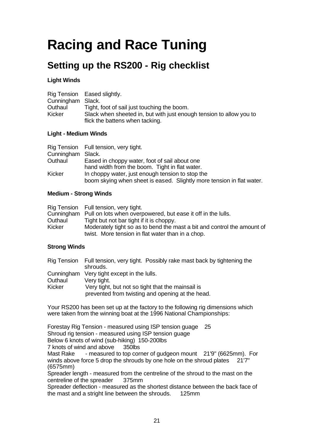# **Racing and Race Tuning**

# **Setting up the RS200 - Rig checklist**

#### **Light Winds**

|                   | Rig Tension Eased slightly.                                                                            |
|-------------------|--------------------------------------------------------------------------------------------------------|
| Cunningham Slack. |                                                                                                        |
| Outhaul           | Tight, foot of sail just touching the boom.                                                            |
| Kicker            | Slack when sheeted in, but with just enough tension to allow you to<br>flick the battens when tacking. |

#### **Light - Medium Winds**

|                   | Rig Tension Full tension, very tight.                                 |
|-------------------|-----------------------------------------------------------------------|
| Cunningham Slack. |                                                                       |
| Outhaul           | Eased in choppy water, foot of sail about one                         |
|                   | hand width from the boom. Tight in flat water.                        |
| Kicker            | In choppy water, just enough tension to stop the                      |
|                   | boom skying when sheet is eased. Slightly more tension in flat water. |

#### **Medium - Strong Winds**

|         | Rig Tension Full tension, very tight.                                   |
|---------|-------------------------------------------------------------------------|
|         | Cunningham Pull on lots when overpowered, but ease it off in the lulls. |
| Outhaul | Tight but not bar tight if it is choppy.                                |
| Kicker  | Moderately tight so as to bend the mast a bit and control the amount of |
|         | twist. More tension in flat water than in a chop.                       |

#### **Strong Winds**

|         | Rig Tension Full tension, very tight. Possibly rake mast back by tightening the<br>shrouds. |
|---------|---------------------------------------------------------------------------------------------|
|         | Cunningham Very tight except in the lulls.                                                  |
| Outhaul | Very tight.                                                                                 |
| Kicker  | Very tight, but not so tight that the mainsail is                                           |
|         | prevented from twisting and opening at the head.                                            |

Your RS200 has been set up at the factory to the following rig dimensions which were taken from the winning boat at the 1996 National Championships:

Forestay Rig Tension - measured using ISP tension guage 25 Shroud rig tension - measured using ISP tension guage Below 6 knots of wind (sub-hiking) 150-200lbs 7 knots of wind and above 350lbs Mast Rake - measured to top corner of gudgeon mount 21'9" (6625mm). For winds above force 5 drop the shrouds by one hole on the shroud plates 21'7" (6575mm) Spreader length - measured from the centreline of the shroud to the mast on the centreline of the spreader 375mm

Spreader deflection - measured as the shortest distance between the back face of the mast and a stright line between the shrouds. 125mm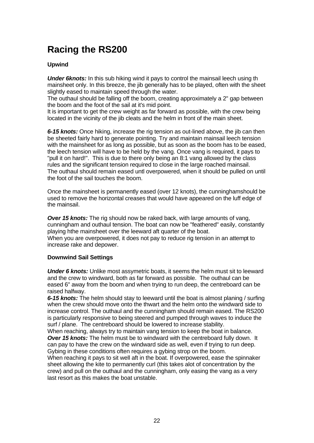# **Racing the RS200**

#### **Upwind**

*Under 6knots:* In this sub hiking wind it pays to control the mainsail leech using th mainsheet only. In this breeze, the jib generally has to be played, often with the sheet slightly eased to maintain speed through the water.

The outhaul should be falling off the boom, creating approximately a 2" gap between the boom and the foot of the sail at it's mid point.

It is important to get the crew weight as far forward as possible, with the crew being located in the vicinity of the jib cleats and the helm in front of the main sheet.

*6-15 knots:* Once hiking, increase the rig tension as out-lined above, the jib can then be sheeted fairly hard to generate pointing. Try and maintain mainsail leech tension with the mainsheet for as long as possible, but as soon as the boom has to be eased, the leech tension will have to be held by the vang. Once vang is required, it pays to "pull it on hard!". This is due to there only being an 8:1 vang allowed by the class rules and the significant tension required to close in the large roached mainsail. The outhaul should remain eased untl overpowered, when it should be pulled on until the foot of the sail touches the boom.

Once the mainsheet is permanently eased (over 12 knots), the cunninghamshould be used to remove the horizontal creases that would have appeared on the luff edge of the mainsail.

*Over 15 knots:* The rig should now be raked back, with large amounts of vang, cunningham and outhaul tension. The boat can now be "feathered" easily, constantly playing hthe mainsheet over the leeward aft quarter of the boat. When you are overpowered, it does not pay to reduce rig tension in an attempt to increase rake and depower.

#### **Downwind Sail Settings**

*Under 6 knots:* Unlike most assymetric boats, it seems the helm must sit to leeward and the crew to windward, both as far forward as possible. The outhaul can be eased 6" away from the boom and when trying to run deep, the centreboard can be raised halfway.

*6-15 knots:* The helm should stay to leeward until the boat is almost planing / surfing when the crew should move onto the thwart and the helm onto the windward side to increase control. The outhaul and the cunningham should remain eased. The RS200 is particularly responsive to being steered and pumped through waves to induce the surf / plane. The centreboard should be lowered to increase stability.

When reaching, always try to maintain vang tension to keep the boat in balance. *Over 15 knots:* The helm must be to windward with the centreboard fully down. It can pay to have the crew on the windward side as well, even if trying to run deep. Gybing in these conditions often requires a gybing strop on the boom.

When reaching it pays to sit well aft in the boat. If overpowered, ease the spinnaker sheet allowing the kite to permanently curl (this takes alot of concentration by the crew) and pull on the outhaul and the cunningham, only easing the vang as a very last resort as this makes the boat unstable.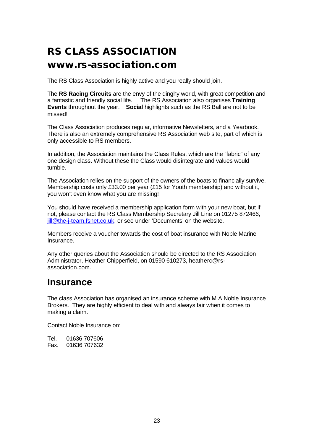# **RS CLASS ASSOCIATION**

## **www.rs-association.com**

The RS Class Association is highly active and you really should join.

The **RS Racing Circuits** are the envy of the dinghy world, with great competition and a fantastic and friendly social life. The RS Association also organises **Training Events** throughout the year. **Social** highlights such as the RS Ball are not to be missed!

The Class Association produces regular, informative Newsletters, and a Yearbook. There is also an extremely comprehensive RS Association web site, part of which is only accessible to RS members.

In addition, the Association maintains the Class Rules, which are the "fabric" of any one design class. Without these the Class would disintegrate and values would tumble.

The Association relies on the support of the owners of the boats to financially survive. Membership costs only £33.00 per year (£15 for Youth membership) and without it, you won't even know what you are missing!

You should have received a membership application form with your new boat, but if not, please contact the RS Class Membership Secretary Jill Line on 01275 872466, jill@the-j-team.fsnet.co.uk, or see under 'Documents' on the website.

Members receive a voucher towards the cost of boat insurance with Noble Marine Insurance.

Any other queries about the Association should be directed to the RS Association Administrator, Heather Chipperfield, on 01590 610273, heatherc@rsassociation.com.

## **Insurance**

The class Association has organised an insurance scheme with M A Noble Insurance Brokers. They are highly efficient to deal with and always fair when it comes to making a claim.

Contact Noble Insurance on:

Tel. 01636 707606 Fax. 01636 707632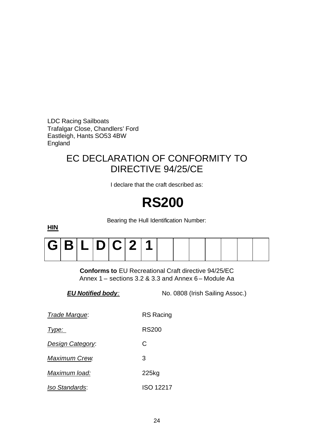LDC Racing Sailboats Trafalgar Close, Chandlers' Ford Eastleigh, Hants SO53 4BW England

# EC DECLARATION OF CONFORMITY TO DIRECTIVE 94/25/CE

I declare that the craft described as:

# **RS200**

Bearing the Hull Identification Number:

|  | G B L D C 2 1 |  |  |  |  |  |  |
|--|---------------|--|--|--|--|--|--|
|  |               |  |  |  |  |  |  |

**Conforms to** EU Recreational Craft directive 94/25/EC Annex 1 – sections 3.2 & 3.3 and Annex 6 – Module Aa

*EU Notified body:* No. 0808 (Irish Sailing Assoc.)

| Trade Marque:           | <b>RS Racing</b> |
|-------------------------|------------------|
| Type:                   | RS200            |
| <b>Design Category:</b> | C                |
| <b>Maximum Crew</b>     | 3                |
| Maximum load:           | 225kg            |
| <i>Iso Standards:</i>   | ISO 12217        |